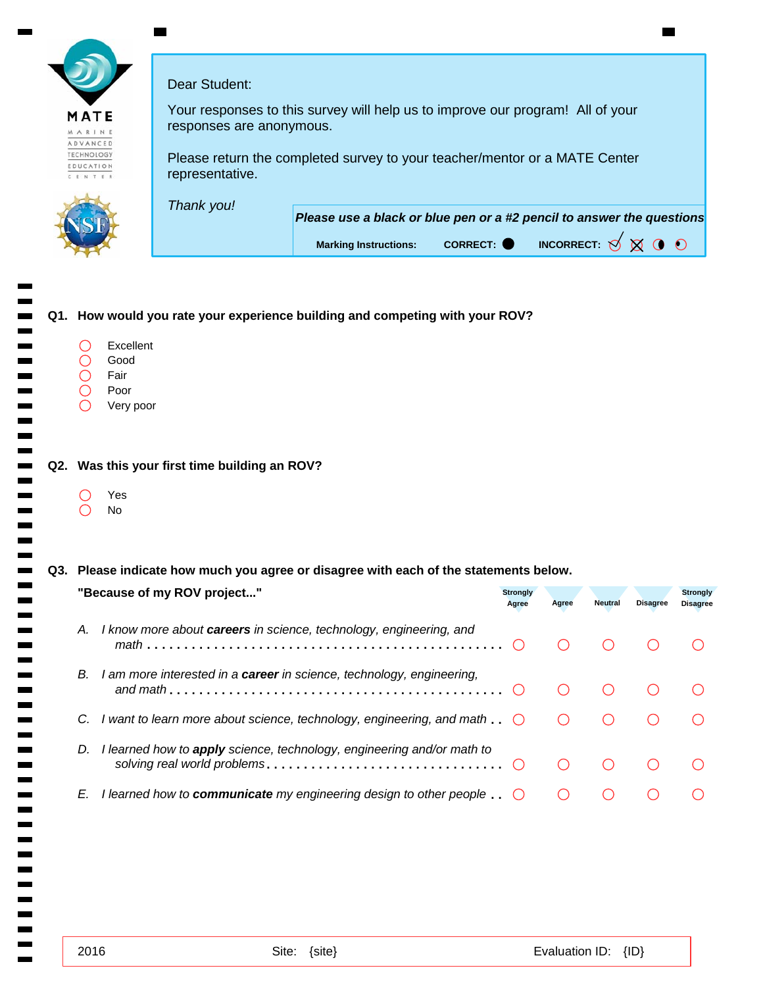|                                                    | Dear Student:                                                                                              |
|----------------------------------------------------|------------------------------------------------------------------------------------------------------------|
| MATE<br>MARINE                                     | Your responses to this survey will help us to improve our program! All of your<br>responses are anonymous. |
| ADVANCED<br><b>TECHNOLOGY</b><br>EDUCATIO<br>CENTE | Please return the completed survey to your teacher/mentor or a MATE Center<br>representative.              |
|                                                    |                                                                                                            |
|                                                    | Thank you!<br>Please use a black or blue pen or a #2 pencil to answer the questions                        |
|                                                    | INCORRECT: $\bigotimes$<br>CORRECT: O<br><b>Marking Instructions:</b>                                      |

## **Q1. How would you rate your experience building and competing with your ROV?** Excellent  $\bigcirc$  $\overline{O}$ Good Fair  $\bigcirc$ Poor  $\bigcirc$ Very poor **Q2. Was this your first time building an ROV?** Yes  $\bigcirc$ No  $\bigcirc$ **Q3. Please indicate how much you agree or disagree with each of the statements below.**

| "Because of my ROV project"                                                              | <b>Strongly</b><br>Agree | Agree | Neutral | <b>Disagree</b> | <b>Strongly</b><br><b>Disagree</b> |
|------------------------------------------------------------------------------------------|--------------------------|-------|---------|-----------------|------------------------------------|
| I know more about <b>careers</b> in science, technology, engineering, and<br>Α.          |                          |       |         |                 |                                    |
| I am more interested in a <b>career</b> in science, technology, engineering,<br>В.       |                          |       |         |                 |                                    |
| I want to learn more about science, technology, engineering, and math $\ldots$<br>C.     |                          |       |         |                 |                                    |
| I learned how to <b>apply</b> science, technology, engineering and/or math to<br>D.      |                          |       |         |                 |                                    |
| I learned how to <b>communicate</b> my engineering design to other people $\ldots$<br>E. |                          |       |         |                 |                                    |

 $\blacksquare$  $\blacksquare$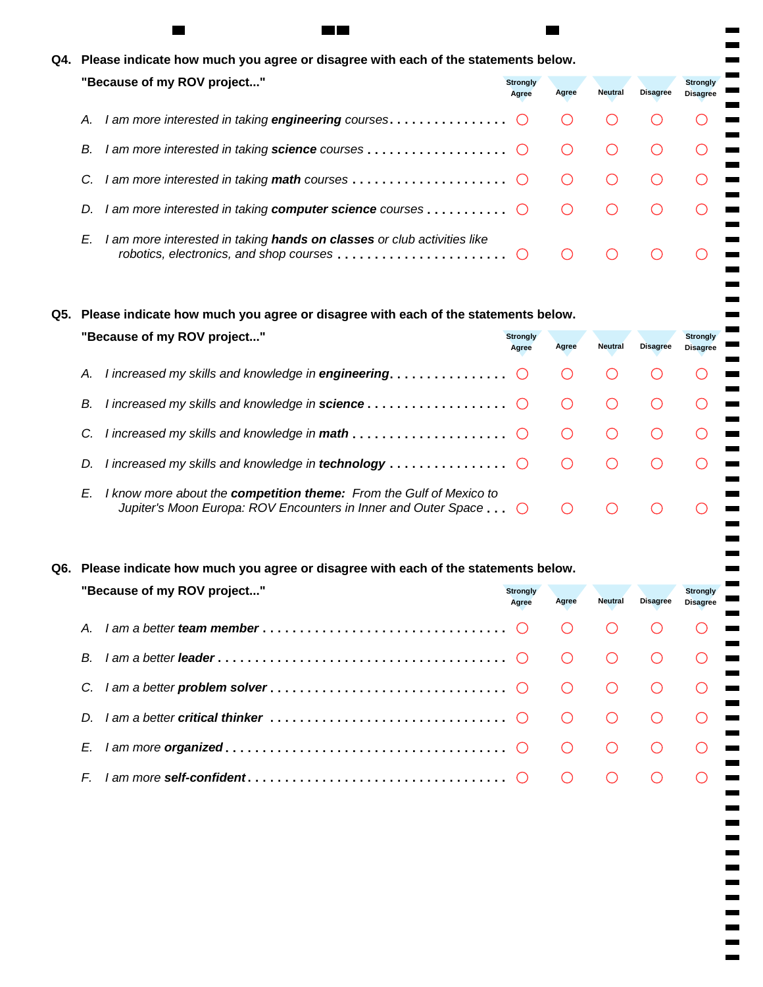|    | Q4. Please indicate how much you agree or disagree with each of the statements below.                                                                          |                          |       |                |                 |                                    |
|----|----------------------------------------------------------------------------------------------------------------------------------------------------------------|--------------------------|-------|----------------|-----------------|------------------------------------|
|    | "Because of my ROV project"                                                                                                                                    | <b>Strongly</b><br>Agree | Agree | <b>Neutral</b> | <b>Disagree</b> | <b>Strongly</b><br><b>Disagree</b> |
| Α. |                                                                                                                                                                |                          |       |                |                 |                                    |
| В. |                                                                                                                                                                |                          |       |                |                 |                                    |
| C. | I am more interested in taking <b>math</b> courses $\ldots \ldots \ldots \ldots \ldots$                                                                        |                          |       |                |                 |                                    |
| D. | I am more interested in taking computer science courses $\ldots \ldots \ldots$                                                                                 |                          |       |                |                 |                                    |
| E. | I am more interested in taking hands on classes or club activities like<br>robotics, electronics, and shop courses $\ldots \ldots \ldots \ldots \ldots \ldots$ |                          |       |                |                 |                                    |

ш

×

٠

٠

٠

۰ . ۰ Ō.  $\blacksquare$  $\mathbf{r}$ ш  $\blacksquare$ a, ×.

 $\blacksquare$  $\blacksquare$  $\blacksquare$ 

 $\blacksquare$  $\blacksquare$  $\blacksquare$  $\blacksquare$  $\mathbf{r}$ 

**Q5. Please indicate how much you agree or disagree with each of the statements below.**

 $\blacksquare$ 

| "Because of my ROV project"                                                                                                                                    | <b>Strongly</b><br>Agree | Agree | <b>Neutral</b> | <b>Disagree</b> | <b>Strongly</b><br><b>Disagree</b> |  |
|----------------------------------------------------------------------------------------------------------------------------------------------------------------|--------------------------|-------|----------------|-----------------|------------------------------------|--|
| А.                                                                                                                                                             |                          |       |                |                 |                                    |  |
| В.                                                                                                                                                             |                          |       |                |                 |                                    |  |
|                                                                                                                                                                |                          |       |                |                 |                                    |  |
| I increased my skills and knowledge in technology $\ldots \ldots \ldots \ldots$<br>D.                                                                          |                          |       |                |                 |                                    |  |
| I know more about the competition theme: From the Gulf of Mexico to<br>E.<br>Jupiter's Moon Europa: ROV Encounters in Inner and Outer Space $\dots$ $\bigcirc$ |                          |       |                |                 |                                    |  |

# **Q6. Please indicate how much you agree or disagree with each of the statements below.**

| "Because of my ROV project"                                                                                      | <b>Strongly</b><br>Agree | Agree | <b>Neutral</b> | <b>Disagree</b> | <b>Strongly</b><br><b>Disagree</b> |
|------------------------------------------------------------------------------------------------------------------|--------------------------|-------|----------------|-----------------|------------------------------------|
| $A_{-}$                                                                                                          |                          |       |                |                 |                                    |
| B.                                                                                                               |                          |       |                |                 |                                    |
| C.                                                                                                               |                          |       | $\bigcap$      |                 |                                    |
| D                                                                                                                |                          |       |                |                 |                                    |
| E.                                                                                                               |                          |       |                |                 |                                    |
| $\mathsf{I}$ am more self-confident $\ldots \ldots \ldots \ldots \ldots \ldots \ldots \ldots \ldots \odot$<br>E. |                          |       |                |                 |                                    |
|                                                                                                                  |                          |       |                |                 |                                    |
|                                                                                                                  |                          |       |                |                 |                                    |
|                                                                                                                  |                          |       |                |                 |                                    |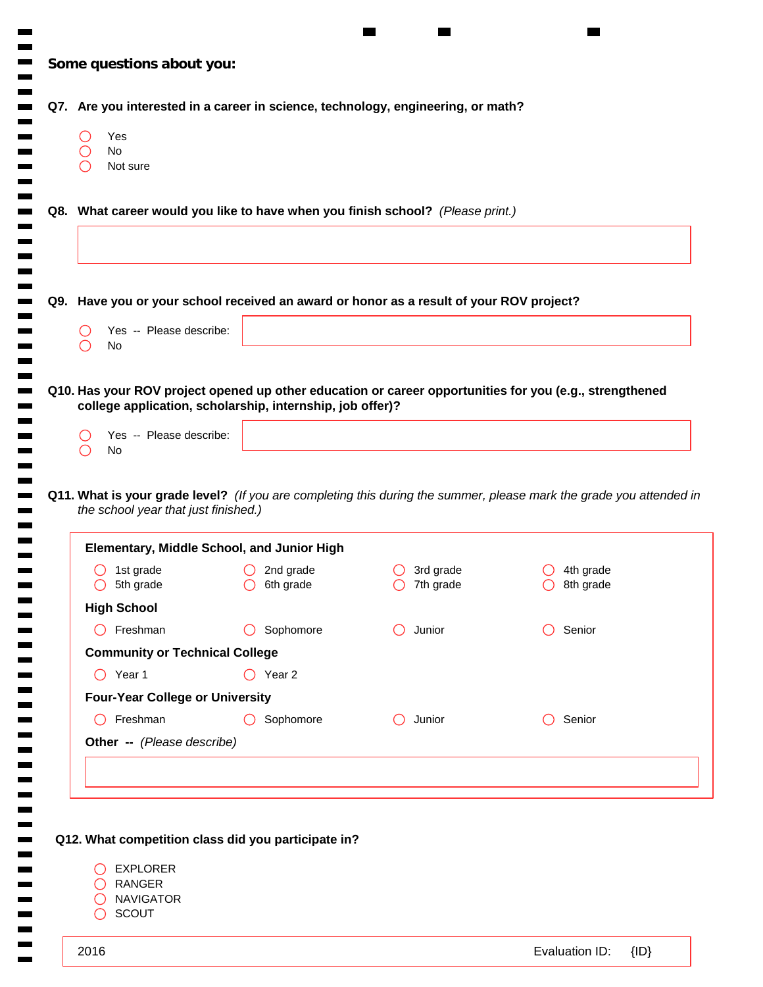|     | Yes<br>( )<br>No<br>Not sure                              |                                                                                         |                                             |                                                                                                                     |
|-----|-----------------------------------------------------------|-----------------------------------------------------------------------------------------|---------------------------------------------|---------------------------------------------------------------------------------------------------------------------|
|     |                                                           | Q8. What career would you like to have when you finish school? (Please print.)          |                                             |                                                                                                                     |
|     |                                                           | Q9. Have you or your school received an award or honor as a result of your ROV project? |                                             |                                                                                                                     |
|     | Yes -- Please describe:<br>No<br>( )                      |                                                                                         |                                             |                                                                                                                     |
|     | Yes -- Please describe:                                   | college application, scholarship, internship, job offer)?                               |                                             |                                                                                                                     |
| ( ) | No<br>( )                                                 |                                                                                         |                                             | Q11. What is your grade level? (If you are completing this during the summer, please mark the grade you attended in |
|     | the school year that just finished.)                      |                                                                                         |                                             |                                                                                                                     |
|     | 1st grade<br>$\bigcirc$ 5th grade                         | <b>Elementary, Middle School, and Junior High</b><br>2nd grade<br>$\bigcirc$ 6th grade  | 3rd grade<br>$\cup$<br>$\bigcirc$ 7th grade | 4th grade<br>$\bigcirc$ 8th grade                                                                                   |
|     | <b>High School</b>                                        |                                                                                         |                                             |                                                                                                                     |
|     | Freshman<br>$\left( \begin{array}{c} \end{array} \right)$ | Sophomore                                                                               | Junior                                      | Senior                                                                                                              |
|     | <b>Community or Technical College</b>                     |                                                                                         |                                             |                                                                                                                     |
|     | $\bigcirc$ Year 1                                         | $\bigcirc$ Year 2                                                                       |                                             |                                                                                                                     |
|     | <b>Four-Year College or University</b>                    |                                                                                         |                                             |                                                                                                                     |
|     | Freshman                                                  | Sophomore<br>$\left( \right)$                                                           | Junior                                      | Senior                                                                                                              |
|     | Other -- (Please describe)                                |                                                                                         |                                             |                                                                                                                     |
|     |                                                           |                                                                                         |                                             |                                                                                                                     |

**COL**  $\blacksquare$  $\blacksquare$